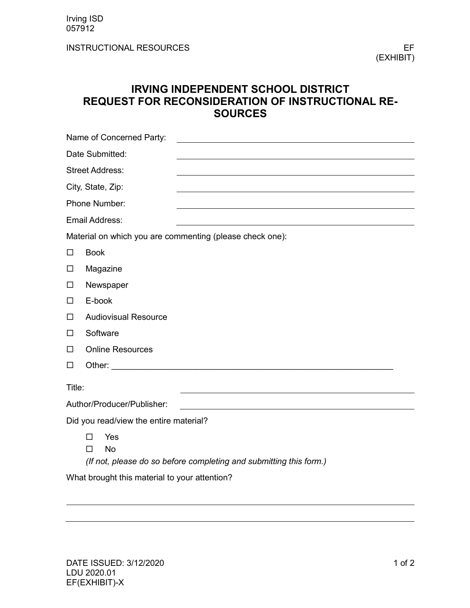INSTRUCTIONAL RESOURCES EF

(EXHIBIT)

## **IRVING INDEPENDENT SCHOOL DISTRICT REQUEST FOR RECONSIDERATION OF INSTRUCTIONAL RE-SOURCES**

|                                                          | Name of Concerned Party:                                                                    |  |  |
|----------------------------------------------------------|---------------------------------------------------------------------------------------------|--|--|
| Date Submitted:                                          |                                                                                             |  |  |
| <b>Street Address:</b>                                   |                                                                                             |  |  |
|                                                          | City, State, Zip:                                                                           |  |  |
|                                                          | Phone Number:                                                                               |  |  |
| Email Address:                                           |                                                                                             |  |  |
| Material on which you are commenting (please check one): |                                                                                             |  |  |
| $\Box$                                                   | <b>Book</b>                                                                                 |  |  |
| $\Box$                                                   | Magazine                                                                                    |  |  |
| $\Box$                                                   | Newspaper                                                                                   |  |  |
| $\Box$                                                   | E-book                                                                                      |  |  |
| □                                                        | <b>Audiovisual Resource</b>                                                                 |  |  |
| □                                                        | Software                                                                                    |  |  |
| □                                                        | <b>Online Resources</b>                                                                     |  |  |
| □                                                        |                                                                                             |  |  |
| Title:                                                   |                                                                                             |  |  |
| Author/Producer/Publisher:                               |                                                                                             |  |  |
| Did you read/view the entire material?                   |                                                                                             |  |  |
|                                                          | Yes<br><b>No</b><br>П<br>(If not, please do so before completing and submitting this form.) |  |  |
|                                                          |                                                                                             |  |  |

What brought this material to your attention?